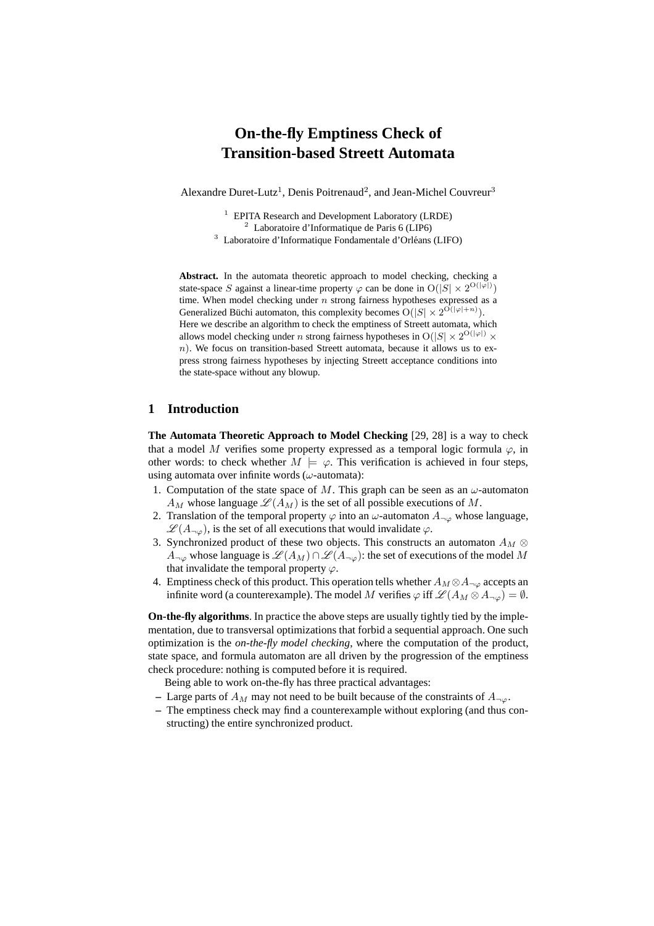# **On-the-fly Emptiness Check of Transition-based Streett Automata**

Alexandre Duret-Lutz<sup>1</sup>, Denis Poitrenaud<sup>2</sup>, and Jean-Michel Couvreur<sup>3</sup>

<sup>1</sup> EPITA Research and Development Laboratory (LRDE) <sup>2</sup> Laboratoire d'Informatique de Paris 6 (LIP6)

 $3$  Laboratoire d'Informatique Fondamentale d'Orléans (LIFO)

**Abstract.** In the automata theoretic approach to model checking, checking a state-space S against a linear-time property  $\varphi$  can be done in  $O(|S| \times 2^{O(|\varphi|)})$ time. When model checking under  $n$  strong fairness hypotheses expressed as a Generalized Büchi automaton, this complexity becomes  $O(|S| \times 2^{O(|\varphi| + n)})$ . Here we describe an algorithm to check the emptiness of Streett automata, which allows model checking under *n* strong fairness hypotheses in  $O(|S| \times 2^{O(|\varphi|)} \times$  $n$ ). We focus on transition-based Streett automata, because it allows us to express strong fairness hypotheses by injecting Streett acceptance conditions into the state-space without any blowup.

# **1 Introduction**

**The Automata Theoretic Approach to Model Checking** [29, 28] is a way to check that a model M verifies some property expressed as a temporal logic formula  $\varphi$ , in other words: to check whether  $M \models \varphi$ . This verification is achieved in four steps, using automata over infinite words ( $\omega$ -automata):

- 1. Computation of the state space of M. This graph can be seen as an  $\omega$ -automaton  $A_M$  whose language  $\mathcal{L}(A_M)$  is the set of all possible executions of M.
- 2. Translation of the temporal property  $\varphi$  into an  $\omega$ -automaton  $A_{\neg \varphi}$  whose language,  $\mathscr{L}(A_{\neg\omega})$ , is the set of all executions that would invalidate  $\varphi$ .
- 3. Synchronized product of these two objects. This constructs an automaton  $A_M \otimes$  $A_{\neg \varphi}$  whose language is  $\mathscr{L}(A_M) \cap \mathscr{L}(A_{\neg \varphi})$ : the set of executions of the model M that invalidate the temporal property  $\varphi$ .
- 4. Emptiness check of this product. This operation tells whether  $A_M \otimes A_{\neg \varphi}$  accepts an infinite word (a counterexample). The model M verifies  $\varphi$  iff  $\mathscr{L}(A_M \otimes A_{\neg \varphi}) = \emptyset$ .

**On-the-fly algorithms**. In practice the above steps are usually tightly tied by the implementation, due to transversal optimizations that forbid a sequential approach. One such optimization is the *on-the-fly model checking*, where the computation of the product, state space, and formula automaton are all driven by the progression of the emptiness check procedure: nothing is computed before it is required.

Being able to work on-the-fly has three practical advantages:

- Large parts of  $A_M$  may not need to be built because of the constraints of  $A_{\neg\varphi}$ .
- **–** The emptiness check may find a counterexample without exploring (and thus constructing) the entire synchronized product.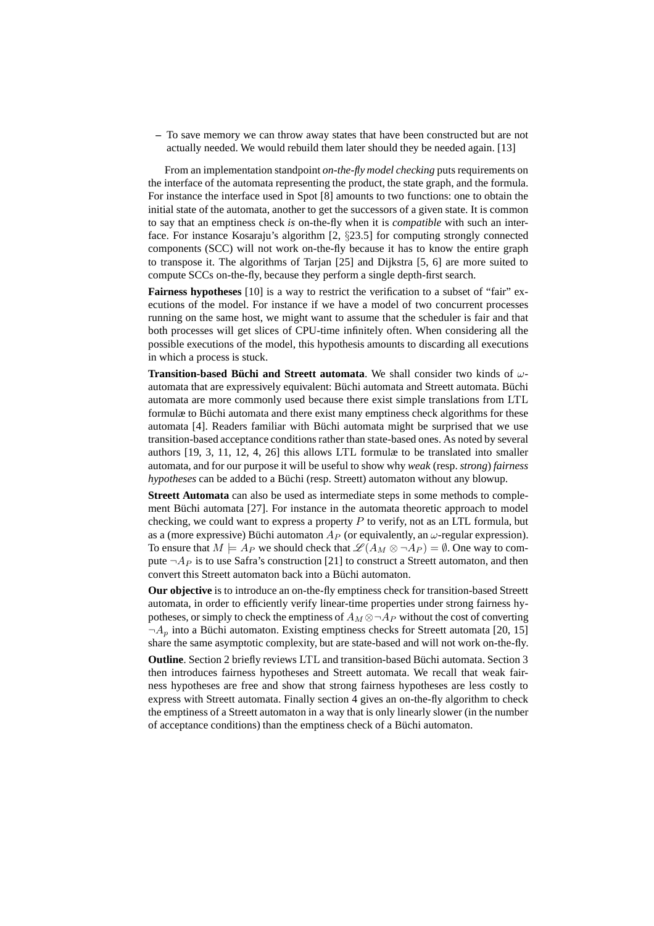**–** To save memory we can throw away states that have been constructed but are not actually needed. We would rebuild them later should they be needed again. [13]

From an implementation standpoint *on-the-fly model checking* puts requirements on the interface of the automata representing the product, the state graph, and the formula. For instance the interface used in Spot [8] amounts to two functions: one to obtain the initial state of the automata, another to get the successors of a given state. It is common to say that an emptiness check *is* on-the-fly when it is *compatible* with such an interface. For instance Kosaraju's algorithm [2, §23.5] for computing strongly connected components (SCC) will not work on-the-fly because it has to know the entire graph to transpose it. The algorithms of Tarjan [25] and Dijkstra [5, 6] are more suited to compute SCCs on-the-fly, because they perform a single depth-first search.

Fairness hypotheses [10] is a way to restrict the verification to a subset of "fair" executions of the model. For instance if we have a model of two concurrent processes running on the same host, we might want to assume that the scheduler is fair and that both processes will get slices of CPU-time infinitely often. When considering all the possible executions of the model, this hypothesis amounts to discarding all executions in which a process is stuck.

**Transition-based Büchi and Streett automata**. We shall consider two kinds of  $\omega$ automata that are expressively equivalent: Büchi automata and Streett automata. Büchi automata are more commonly used because there exist simple translations from LTL formulæ to Büchi automata and there exist many emptiness check algorithms for these automata [4]. Readers familiar with Büchi automata might be surprised that we use transition-based acceptance conditions rather than state-based ones. As noted by several authors [19, 3, 11, 12, 4, 26] this allows LTL formulæ to be translated into smaller automata, and for our purpose it will be useful to show why *weak* (resp. *strong*) *fairness hypotheses* can be added to a Büchi (resp. Streett) automaton without any blowup.

**Streett Automata** can also be used as intermediate steps in some methods to complement Büchi automata  $[27]$ . For instance in the automata theoretic approach to model checking, we could want to express a property  $P$  to verify, not as an LTL formula, but as a (more expressive) Büchi automaton  $A_P$  (or equivalently, an  $\omega$ -regular expression). To ensure that  $M \models A_P$  we should check that  $\mathscr{L}(A_M \otimes \neg A_P) = \emptyset$ . One way to compute  $\neg A_P$  is to use Safra's construction [21] to construct a Streett automaton, and then convert this Streett automaton back into a Büchi automaton.

**Our objective** is to introduce an on-the-fly emptiness check for transition-based Streett automata, in order to efficiently verify linear-time properties under strong fairness hypotheses, or simply to check the emptiness of  $A_M \otimes \neg A_P$  without the cost of converting  $\neg A_p$  into a Büchi automaton. Existing emptiness checks for Streett automata [20, 15] share the same asymptotic complexity, but are state-based and will not work on-the-fly. **Outline**. Section 2 briefly reviews LTL and transition-based Büchi automata. Section 3 then introduces fairness hypotheses and Streett automata. We recall that weak fairness hypotheses are free and show that strong fairness hypotheses are less costly to express with Streett automata. Finally section 4 gives an on-the-fly algorithm to check the emptiness of a Streett automaton in a way that is only linearly slower (in the number of acceptance conditions) than the emptiness check of a Büchi automaton.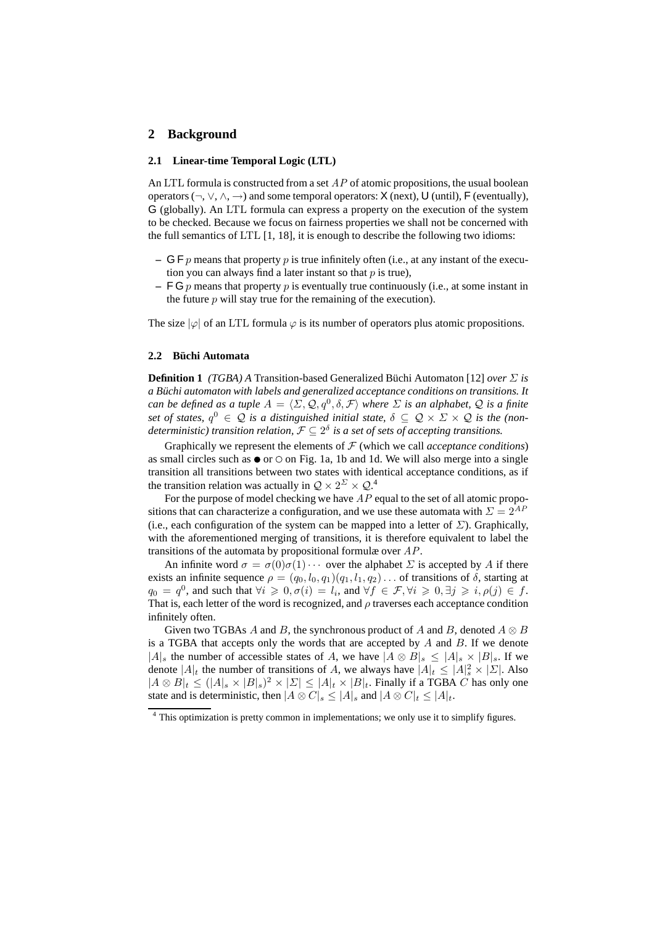# **2 Background**

# **2.1 Linear-time Temporal Logic (LTL)**

An LTL formula is constructed from a set  $AP$  of atomic propositions, the usual boolean operators  $(\neg, \lor, \land, \rightarrow)$  and some temporal operators: X (next), U (until), F (eventually), G (globally). An LTL formula can express a property on the execution of the system to be checked. Because we focus on fairness properties we shall not be concerned with the full semantics of LTL  $[1, 18]$ , it is enough to describe the following two idioms:

- **–** G F p means that property p is true infinitely often (i.e., at any instant of the execution you can always find a later instant so that  $p$  is true),
- **–** F G p means that property p is eventually true continuously (i.e., at some instant in the future  $p$  will stay true for the remaining of the execution).

The size  $|\varphi|$  of an LTL formula  $\varphi$  is its number of operators plus atomic propositions.

## **2.2 B¨uchi Automata**

**Definition 1** *(TGBA)* A Transition-based Generalized Büchi Automaton [12] *over*  $\Sigma$  *is a Buchi automaton with labels and generalized acceptance cond ¨ itions on transitions. It can be defined as a tuple*  $A = \langle \Sigma, \mathcal{Q}, q^0, \delta, \mathcal{F} \rangle$  where  $\Sigma$  *is an alphabet,*  $\mathcal Q$  *is a finite set of states,*  $q^0 \in \mathcal{Q}$  *is a distinguished initial state,*  $\delta \subseteq \mathcal{Q} \times \Sigma \times \mathcal{Q}$  *is the (non*deterministic) transition relation,  $\mathcal{F} \subseteq 2^\delta$  is a set of sets of accepting transitions.

Graphically we represent the elements of  $F$  (which we call *acceptance conditions*) as small circles such as  $\bullet$  or  $\circ$  on Fig. 1a, 1b and 1d. We will also merge into a single transition all transitions between two states with identical acceptance conditions, as if the transition relation was actually in  $Q \times 2^{\Sigma} \times Q$ .<sup>4</sup>

For the purpose of model checking we have  $AP$  equal to the set of all atomic propositions that can characterize a configuration, and we use these automata with  $\Sigma = 2^{AP}$ (i.e., each configuration of the system can be mapped into a letter of  $\Sigma$ ). Graphically, with the aforementioned merging of transitions, it is therefore equivalent to label the transitions of the automata by propositional formulæ over  $AP$ .

An infinite word  $\sigma = \sigma(0)\sigma(1)\cdots$  over the alphabet  $\Sigma$  is accepted by A if there exists an infinite sequence  $\rho = (q_0, l_0, q_1)(q_1, l_1, q_2) \dots$  of transitions of  $\delta$ , starting at  $q_0 = q^0$ , and such that  $\forall i \geq 0, \sigma(i) = l_i$ , and  $\forall f \in \mathcal{F}, \forall i \geq 0, \exists j \geq i, \rho(j) \in f$ . That is, each letter of the word is recognized, and  $\rho$  traverses each acceptance condition infinitely often.

Given two TGBAs A and B, the synchronous product of A and B, denoted  $A \otimes B$ is a TGBA that accepts only the words that are accepted by  $A$  and  $B$ . If we denote  $|A|_s$  the number of accessible states of A, we have  $|A \otimes B|_s < |A|_s \times |B|_s$ . If we denote  $|A|_t$  the number of transitions of A, we always have  $|A|_t \leq |A|_s^2 \times |\Sigma|$ . Also  $|A \otimes B|_t \leq (|A|_s \times |B|_s)^2 \times |\Sigma| \leq |A|_t \times |B|_t$ . Finally if a TGBA C has only one state and is deterministic, then  $|A \otimes C|_s \leq |A|_s$  and  $|A \otimes C|_t \leq |A|_t$ .

<sup>&</sup>lt;sup>4</sup> This optimization is pretty common in implementations; we only use it to simplify figures.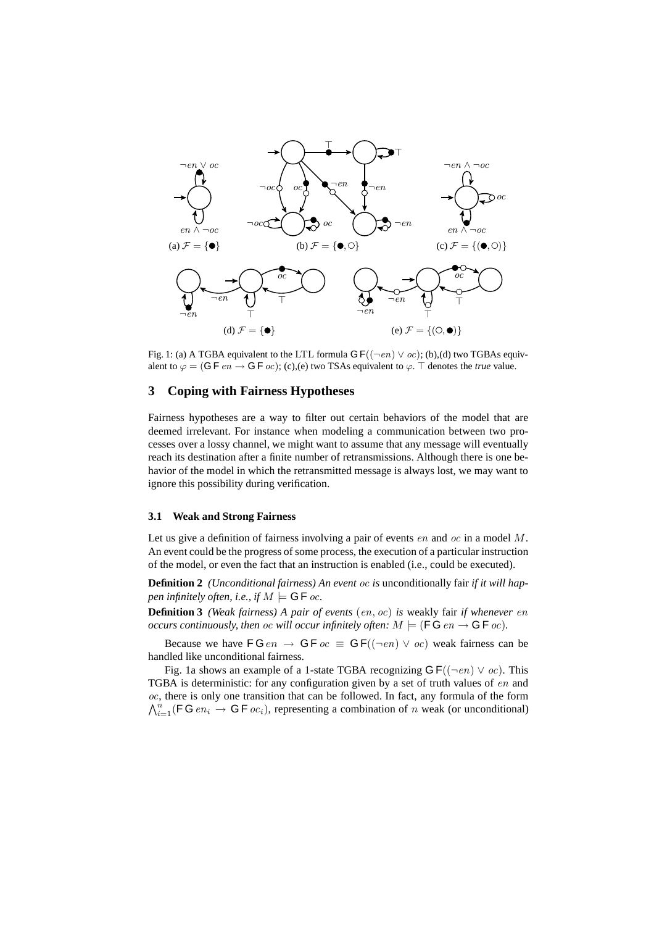

Fig. 1: (a) A TGBA equivalent to the LTL formula  $GF((\neg en) \lor oc)$ ; (b),(d) two TGBAs equivalent to  $\varphi = (G F e n \rightarrow G F o c)$ ; (c),(e) two TSAs equivalent to  $\varphi$ . ⊤ denotes the *true* value.

# **3 Coping with Fairness Hypotheses**

Fairness hypotheses are a way to filter out certain behaviors of the model that are deemed irrelevant. For instance when modeling a communication between two processes over a lossy channel, we might want to assume that any message will eventually reach its destination after a finite number of retransmissions. Although there is one behavior of the model in which the retransmitted message is always lost, we may want to ignore this possibility during verification.

#### **3.1 Weak and Strong Fairness**

Let us give a definition of fairness involving a pair of events  $en$  and  $oc$  in a model  $M$ . An event could be the progress of some process, the execution of a particular instruction of the model, or even the fact that an instruction is enabled (i.e., could be executed).

**Definition 2** *(Unconditional fairness) An event* oc *is* unconditionally fair *if it will happen infinitely often, i.e., if*  $M \models$  **GF** *oc.* 

**Definition 3** *(Weak fairness) A pair of events* (en, oc) *is* weakly fair *if whenever* en *occurs continuously, then oc will occur infinitely often:*  $M \models (\mathsf{FG} \text{ } en \rightarrow \mathsf{GF} \text{ } oc)$ *.* 

Because we have  $\textsf{FG}\, en \rightarrow \textsf{GF}\, oc \equiv \textsf{GF}((\neg en) \vee oc)$  weak fairness can be handled like unconditional fairness.

Fig. 1a shows an example of a 1-state TGBA recognizing  $GF(\neg en) \lor oc$ ). This TGBA is deterministic: for any configuration given by a set of truth values of en and oc, there is only one transition that can be followed. In fact, any formula of the form  $\bigwedge_{i=1}^{n}$  (FG  $en_i \rightarrow$  GF  $oc_i$ ), representing a combination of n weak (or unconditional)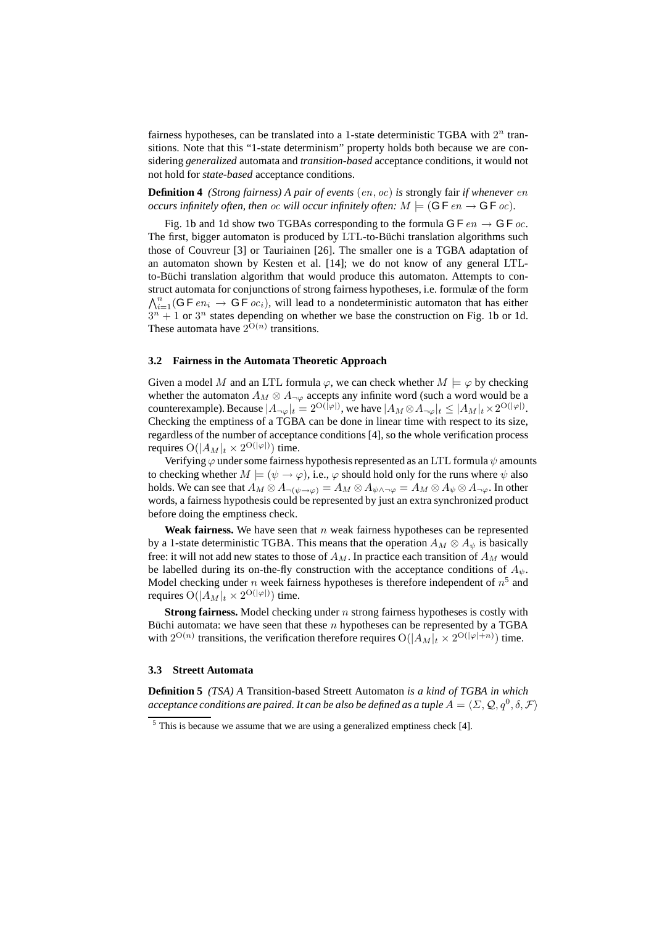fairness hypotheses, can be translated into a 1-state deterministic TGBA with  $2^n$  transitions. Note that this "1-state determinism" property holds both because we are considering *generalized* automata and *transition-based* acceptance conditions, it would not not hold for *state-based* acceptance conditions.

**Definition 4** *(Strong fairness) A pair of events* (en, oc) *is* strongly fair *if whenever* en *occurs infinitely often, then oc will occur infinitely often:*  $M \models (\mathsf{GF} \text{ en } \rightarrow \mathsf{GF} \text{ oc})$ .

Fig. 1b and 1d show two TGBAs corresponding to the formula  $GF en \rightarrow GF oc$ . The first, bigger automaton is produced by LTL-to-Büchi translation algorithms such those of Couvreur [3] or Tauriainen [26]. The smaller one is a TGBA adaptation of an automaton shown by Kesten et al. [14]; we do not know of any general LTLto-Büchi translation algorithm that would produce this automaton. Attempts to construct automata for conjunctions of strong fairness hypotheses, i.e. formulæ of the form  $\bigwedge_{i=1}^{n} (G F e n_i \rightarrow G F o c_i)$ , will lead to a nondeterministic automaton that has either  $3^n + 1$  or  $3^n$  states depending on whether we base the construction on Fig. 1b or 1d. These automata have  $2^{O(n)}$  transitions.

#### **3.2 Fairness in the Automata Theoretic Approach**

Given a model M and an LTL formula  $\varphi$ , we can check whether  $M \models \varphi$  by checking whether the automaton  $A_M \otimes A_{\neg \varphi}$  accepts any infinite word (such a word would be a counterexample). Because  $|A_{\neg\varphi}|_t = 2^{O(|\varphi|)}$ , we have  $|A_M \otimes A_{\neg\varphi}|_t \leq |A_M|_t \times 2^{O(|\varphi|)}$ . Checking the emptiness of a TGBA can be done in linear time with respect to its size, regardless of the number of acceptance conditions [4], so the whole verification process requires  $O(|A_M|_t \times 2^{O(|\varphi|)})$  time.

Verifying  $\varphi$  under some fairness hypothesis represented as an LTL formula  $\psi$  amounts to checking whether  $M \models (\psi \rightarrow \varphi)$ , i.e.,  $\varphi$  should hold only for the runs where  $\psi$  also holds. We can see that  $A_M \otimes A_{\neg(\psi \to \varphi)} = A_M \otimes A_{\psi \land \neg \varphi} = A_M \otimes A_{\psi} \otimes A_{\neg \varphi}$ . In other words, a fairness hypothesis could be represented by just an extra synchronized product before doing the emptiness check.

**Weak fairness.** We have seen that  $n$  weak fairness hypotheses can be represented by a 1-state deterministic TGBA. This means that the operation  $A_M \otimes A_{\psi}$  is basically free: it will not add new states to those of  $A_M$ . In practice each transition of  $A_M$  would be labelled during its on-the-fly construction with the acceptance conditions of  $A_{\psi}$ . Model checking under *n* week fairness hypotheses is therefore independent of  $n^5$  and requires  $O(|A_M|_t \times 2^{O(|\varphi|)})$  time.

**Strong fairness.** Model checking under n strong fairness hypotheses is costly with Büchi automata: we have seen that these  $n$  hypotheses can be represented by a TGBA with  $2^{O(n)}$  transitions, the verification therefore requires  $O(|A_M|_t \times 2^{O(|\varphi|+n)})$  time.

#### **3.3 Streett Automata**

**Definition 5** *(TSA) A* Transition-based Streett Automaton *is a kind of TGBA in which* acceptance conditions are paired. It can be also be defined as a tuple  $A = \langle \Sigma, \mathcal{Q}, q^0, \delta, \mathcal{F} \rangle$ 

 $<sup>5</sup>$  This is because we assume that we are using a generalized emptiness check [4].</sup>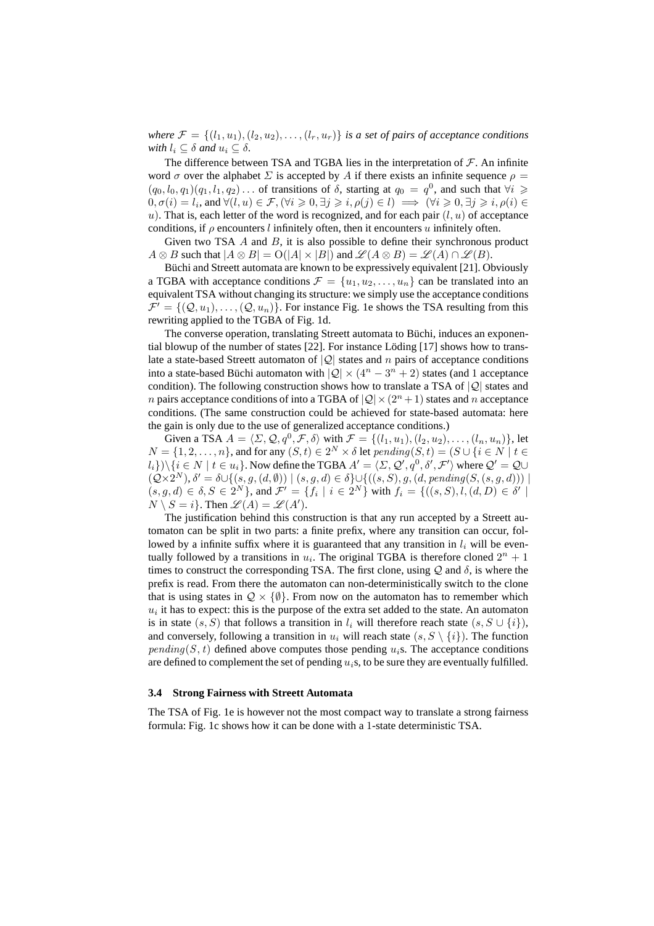*where*  $\mathcal{F} = \{(l_1, u_1), (l_2, u_2), \ldots, (l_r, u_r)\}\$  *is a set of pairs of acceptance conditions with*  $l_i \subseteq \delta$  *and*  $u_i \subseteq \delta$ .

The difference between TSA and TGBA lies in the interpretation of  $F$ . An infinite word  $\sigma$  over the alphabet  $\Sigma$  is accepted by A if there exists an infinite sequence  $\rho =$  $(q_0, l_0, q_1)(q_1, l_1, q_2) \dots$  of transitions of  $\delta$ , starting at  $q_0 = q^0$ , and such that  $\forall i \geq$  $0, \sigma(i) = l_i$ , and  $\forall (l, u) \in \mathcal{F}, (\forall i \geqslant 0, \exists j \geqslant i, \rho(j) \in l) \implies (\forall i \geqslant 0, \exists j \geqslant i, \rho(i) \in l)$ u). That is, each letter of the word is recognized, and for each pair  $(l, u)$  of acceptance conditions, if  $\rho$  encounters l infinitely often, then it encounters u infinitely often.

Given two TSA A and B, it is also possible to define their synchronous product  $A \otimes B$  such that  $|A \otimes B| = O(|A| \times |B|)$  and  $\mathscr{L}(A \otimes B) = \mathscr{L}(A) \cap \mathscr{L}(B)$ .

Büchi and Streett automata are known to be expressively equivalent [21]. Obviously a TGBA with acceptance conditions  $\mathcal{F} = \{u_1, u_2, \dots, u_n\}$  can be translated into an equivalent TSA without changing its structure: we simply use the acceptance conditions  $\mathcal{F}' = \{(\mathcal{Q}, u_1), \ldots, (\mathcal{Q}, u_n)\}\.$  For instance Fig. 1e shows the TSA resulting from this rewriting applied to the TGBA of Fig. 1d.

The converse operation, translating Streett automata to Büchi, induces an exponential blowup of the number of states  $[22]$ . For instance Löding  $[17]$  shows how to translate a state-based Streett automaton of  $|Q|$  states and n pairs of acceptance conditions into a state-based Büchi automaton with  $|Q| \times (4^n - 3^n + 2)$  states (and 1 acceptance condition). The following construction shows how to translate a TSA of  $|Q|$  states and *n* pairs acceptance conditions of into a TGBA of  $|Q| \times (2^n + 1)$  states and *n* acceptance conditions. (The same construction could be achieved for state-based automata: here the gain is only due to the use of generalized acceptance conditions.)

Given a TSA  $A = \langle \Sigma, Q, q^0, \mathcal{F}, \delta \rangle$  with  $\mathcal{F} = \{(l_1, u_1), (l_2, u_2), \dots, (l_n, u_n)\}\$ , let  $N = \{1, 2, \ldots, n\}$ , and for any  $(S, t) \in 2^N \times \delta$  let  $pending(S, t) = (S \cup \{i \in N \mid t \in N\})$  $(l_i)\rangle\backslash\{i\in N\mid t\in u_i\}.$  Now define the TGBA  $A'=\langle \varSigma,\mathcal{Q}',q^0,\delta',\mathcal{F}'\rangle$  where  $\mathcal{Q}'=\mathcal{Q}\cup\mathcal{Q}'$  $(Q \times 2^N), \delta' = \delta \cup \{(s, g, (d, \emptyset)) \mid (s, g, d) \in \delta\} \cup \{((s, S), g, (d, pending(S, (s, g, d))) \mid (s, g, (d, g, d)) \in \delta\}$  $(s, g, d) \in \delta, S \in 2^N$ , and  $\mathcal{F}' = \{f_i \mid i \in 2^N\}$  with  $f_i = \{((s, S), l, (d, D) \in \delta' \mid$  $N \setminus S = i$ . Then  $\mathscr{L}(A) = \mathscr{L}(A')$ .

The justification behind this construction is that any run accepted by a Streett automaton can be split in two parts: a finite prefix, where any transition can occur, followed by a infinite suffix where it is guaranteed that any transition in  $l_i$  will be eventually followed by a transitions in  $u_i$ . The original TGBA is therefore cloned  $2^n + 1$ times to construct the corresponding TSA. The first clone, using  $Q$  and  $\delta$ , is where the prefix is read. From there the automaton can non-deterministically switch to the clone that is using states in  $\mathcal{Q} \times \{\emptyset\}$ . From now on the automaton has to remember which  $u_i$  it has to expect: this is the purpose of the extra set added to the state. An automaton is in state  $(s, S)$  that follows a transition in  $l_i$  will therefore reach state  $(s, S \cup \{i\})$ , and conversely, following a transition in  $u_i$  will reach state  $(s, S \setminus \{i\})$ . The function  $pending(S, t)$  defined above computes those pending  $u_i$ s. The acceptance conditions are defined to complement the set of pending  $u_i$ s, to be sure they are eventually fulfilled.

## **3.4 Strong Fairness with Streett Automata**

The TSA of Fig. 1e is however not the most compact way to translate a strong fairness formula: Fig. 1c shows how it can be done with a 1-state deterministic TSA.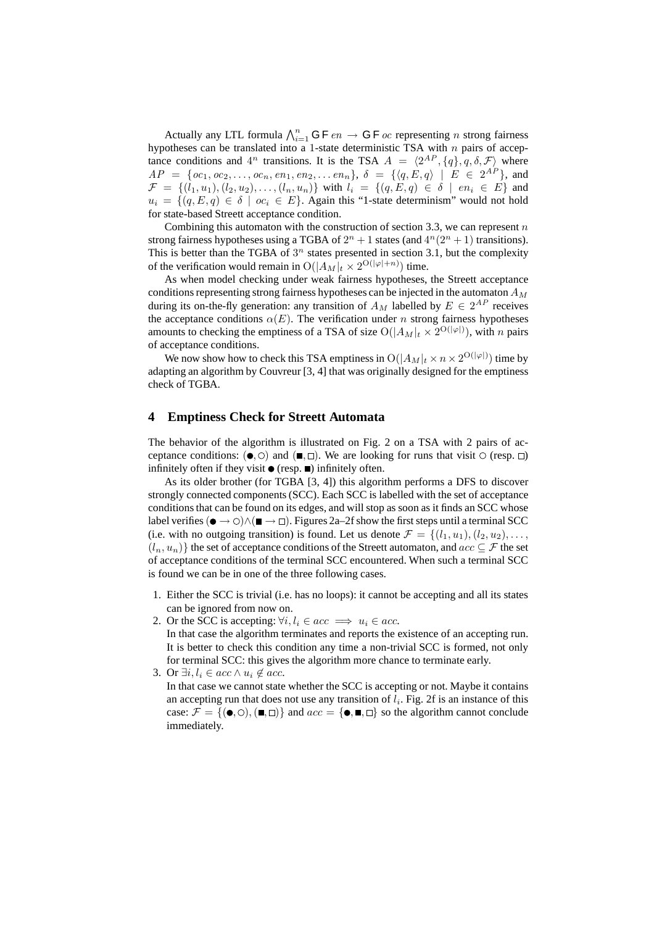Actually any LTL formula  $\bigwedge_{i=1}^{n} \mathsf{G} \mathsf{F}$  en  $\to \mathsf{G} \mathsf{F}$  oc representing n strong fairness hypotheses can be translated into a 1-state deterministic TSA with  $n$  pairs of acceptance conditions and 4<sup>n</sup> transitions. It is the TSA  $A = \langle 2^{AP}, \{q\}, q, \delta, \mathcal{F} \rangle$  where  $AP = \{oc_1, oc_2, \ldots, oc_n, en_1, en_2, \ldots en_n\}, \delta = \{ \langle q, E, q \rangle | E \in 2^{AP} \}, \text{ and}$  $\mathcal{F} = \{(l_1, u_1), (l_2, u_2), \ldots, (l_n, u_n)\}\$  with  $l_i = \{(q, E, q) \in \delta \mid en_i \in E\}$  and  $u_i = \{(q, E, q) \in \delta \mid oc_i \in E\}$ . Again this "1-state determinism" would not hold for state-based Streett acceptance condition.

Combining this automaton with the construction of section 3.3, we can represent  $n$ strong fairness hypotheses using a TGBA of  $2^n + 1$  states (and  $4^n(2^n + 1)$  transitions). This is better than the TGBA of  $3^n$  states presented in section 3.1, but the complexity of the verification would remain in  $O(|A_M|_t \times 2^{O(|\varphi|+n)})$  time.

As when model checking under weak fairness hypotheses, the Streett acceptance conditions representing strong fairness hypotheses can be injected in the automaton  $A_M$ during its on-the-fly generation: any transition of  $A_M$  labelled by  $E \in 2^{AP}$  receives the acceptance conditions  $\alpha(E)$ . The verification under *n* strong fairness hypotheses amounts to checking the emptiness of a TSA of size  $O(|A_M|_t \times 2^{O(|\varphi|)})$ , with n pairs of acceptance conditions.

We now show how to check this TSA emptiness in  $O(|A_M|_t \times n \times 2^{O(|\varphi|)})$  time by adapting an algorithm by Couvreur [3, 4] that was originally designed for the emptiness check of TGBA.

# **4 Emptiness Check for Streett Automata**

The behavior of the algorithm is illustrated on Fig. 2 on a TSA with 2 pairs of acceptance conditions:  $(\bullet, \circ)$  and  $(\blacksquare, \square)$ . We are looking for runs that visit  $\circ$  (resp.  $\square$ ) infinitely often if they visit  $\bullet$  (resp.  $\blacksquare$ ) infinitely often.

As its older brother (for TGBA [3, 4]) this algorithm performs a DFS to discover strongly connected components (SCC). Each SCC is labelled with the set of acceptance conditions that can be found on its edges, and will stop as soon as it finds an SCC whose label verifies ( $\bullet \rightarrow \circlearrowright) \wedge (\blacksquare \rightarrow \square)$ . Figures 2a–2f show the first steps until a terminal SCC (i.e. with no outgoing transition) is found. Let us denote  $\mathcal{F} = \{(l_1, u_1), (l_2, u_2), \ldots,$  $(l_n, u_n)$  the set of acceptance conditions of the Streett automaton, and  $acc \subseteq \mathcal{F}$  the set of acceptance conditions of the terminal SCC encountered. When such a terminal SCC is found we can be in one of the three following cases.

- 1. Either the SCC is trivial (i.e. has no loops): it cannot be accepting and all its states can be ignored from now on.
- 2. Or the SCC is accepting:  $\forall i, l_i \in acc \implies u_i \in acc$ . In that case the algorithm terminates and reports the existence of an accepting run. It is better to check this condition any time a non-trivial SCC is formed, not only for terminal SCC: this gives the algorithm more chance to terminate early.
- 3. Or  $\exists i, l_i \in acc \land u_i \notin acc.$ In that case we cannot state whether the SCC is accepting or not. Maybe it contains an accepting run that does not use any transition of  $l_i$ . Fig. 2f is an instance of this case:  $\mathcal{F} = \{ (\bullet, \circ), (\blacksquare, \square) \}$  and  $acc = \{ \bullet, \blacksquare, \square \}$  so the algorithm cannot conclude

immediately.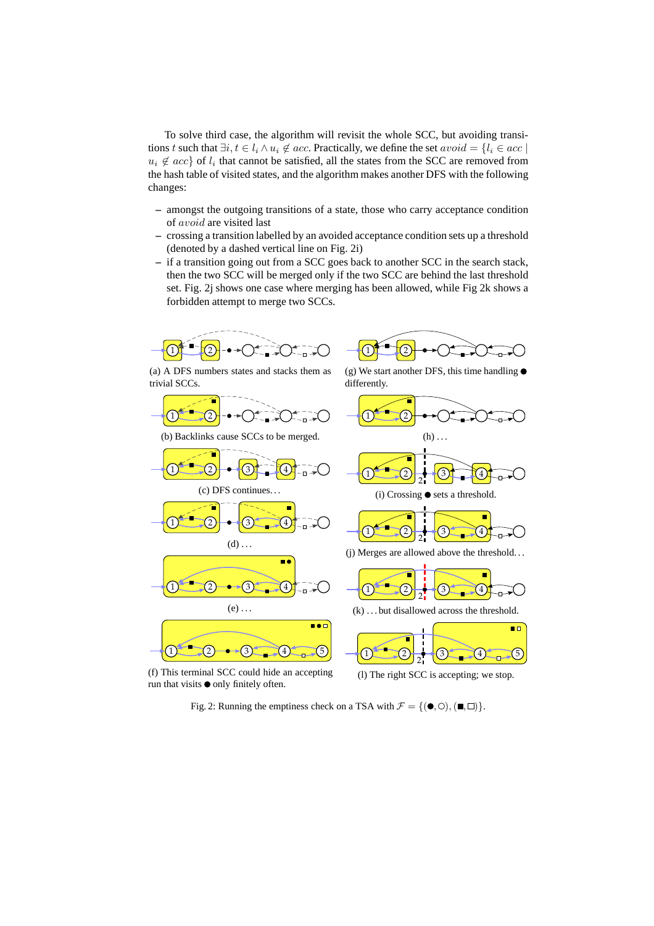To solve third case, the algorithm will revisit the whole SCC, but avoiding transitions t such that  $\exists i, t \in l_i \land u_i \notin acc$ . Practically, we define the set  $avoid = \{l_i \in acc \mid$  $u_i \notin acc$  of  $l_i$  that cannot be satisfied, all the states from the SCC are removed from the hash table of visited states, and the algorithm makes another DFS with the following changes:

- **–** amongst the outgoing transitions of a state, those who carry acceptance condition of avoid are visited last
- **–** crossing a transition labelled by an avoided acceptance condition sets up a threshold (denoted by a dashed vertical line on Fig. 2i)
- **–** if a transition going out from a SCC goes back to another SCC in the search stack, then the two SCC will be merged only if the two SCC are behind the last threshold set. Fig. 2j shows one case where merging has been allowed, while Fig 2k shows a forbidden attempt to merge two SCCs.



(a) A DFS numbers states and stacks them as trivial SCCs.



(b) Backlinks cause SCCs to be merged.









 $\blacksquare \bullet \square$  $1^2$   $(2 - \cdot 3)$   $(4)$  5 (f) This terminal SCC could hide an accepting

run that visits  $\bullet$  only finitely often.

 $(1)$   $(2)$ 

(g) We start another DFS, this time handling  $\bullet$ differently.





(l) The right SCC is accepting; we stop.

Fig. 2: Running the emptiness check on a TSA with  $\mathcal{F} = \{(\bullet, \circ), (\blacksquare, \square)\}.$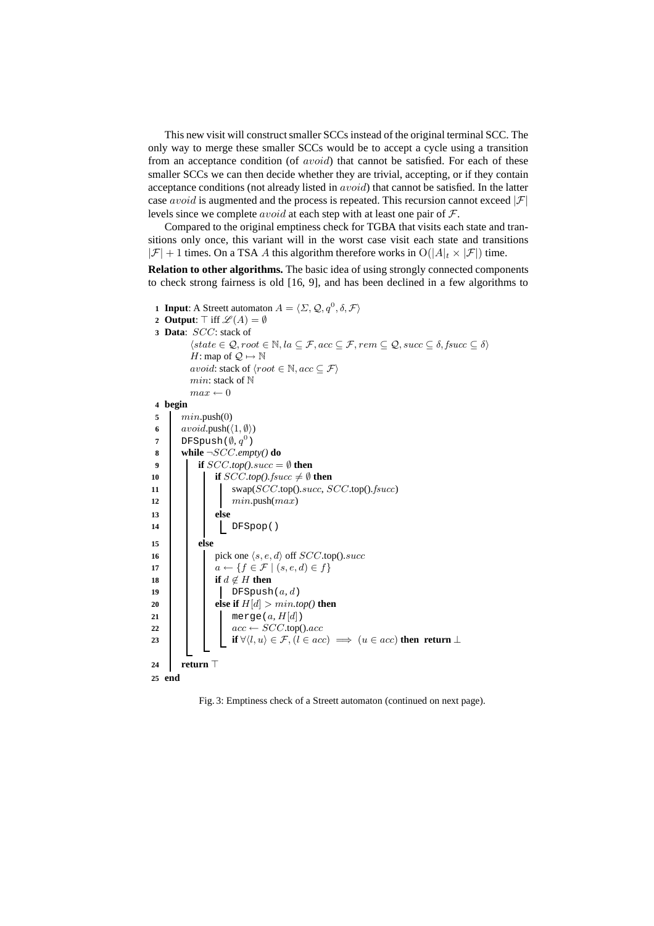This new visit will construct smaller SCCs instead of the original terminal SCC. The only way to merge these smaller SCCs would be to accept a cycle using a transition from an acceptance condition (of *avoid*) that cannot be satisfied. For each of these smaller SCCs we can then decide whether they are trivial, accepting, or if they contain acceptance conditions (not already listed in avoid) that cannot be satisfied. In the latter case *avoid* is augmented and the process is repeated. This recursion cannot exceed  $|\mathcal{F}|$ levels since we complete  $avoid$  at each step with at least one pair of  $F$ .

Compared to the original emptiness check for TGBA that visits each state and transitions only once, this variant will in the worst case visit each state and transitions  $|\mathcal{F}| + 1$  times. On a TSA A this algorithm therefore works in  $O(|A|_t \times |\mathcal{F}|)$  time.

**Relation to other algorithms.** The basic idea of using strongly connected components to check strong fairness is old [16, 9], and has been declined in a few algorithms to

```
I Input: A Streett automaton A = \langle \Sigma, \mathcal{Q}, q^0, \delta, \mathcal{F} \rangle2 Output: ⊤ iff \mathscr{L}(A) = \emptyset3 Data: SCC: stack of
           \langle state \in \mathcal{Q}, root \in \mathbb{N}, la \subseteq \mathcal{F}, acc \subseteq \mathcal{F}, rem \subseteq \mathcal{Q}, succ \subseteq \delta, fixcc \subseteq \delta \rangleH: map of \mathcal{Q} \mapsto \mathbb{N}avoid: stack of \langle root \in \mathbb{N}, acc \subseteq \mathcal{F} \ranglemin: stack of Nmax \leftarrow 04 begin
 5 \text{ } min. push(0)6 avoid.push(\langle 1, \emptyset \rangle)7 DFSpush(\emptyset, q^0)
 8 while \neg SCC.empty() do
 9 if SCC.top( ).succ = \emptyset then
10 if SCC.top(). fsucc \neq \emptyset then
11 Swap(SCC.top().succ, SCC.top().fsucc)
12 min.push(max)
13 else
14 DFSpop()
15 else
16 pick one \langle s, e, d \rangle off SCC.top().succ
17 a \leftarrow \{f \in \mathcal{F} \mid (s, e, d) \in f\}18 if d \notin H then
19 DFSpush(a, d)
20 else if H[d] > min.top() then
21 \vert merge(a, H[d])22 acc ← SCC.top().acc
23 ii if \forall \langle l, u \rangle \in \mathcal{F}, (l \in acc) \implies (u \in acc) then return \bot24 return ⊤
25 end
```
Fig. 3: Emptiness check of a Streett automaton (continued on next page).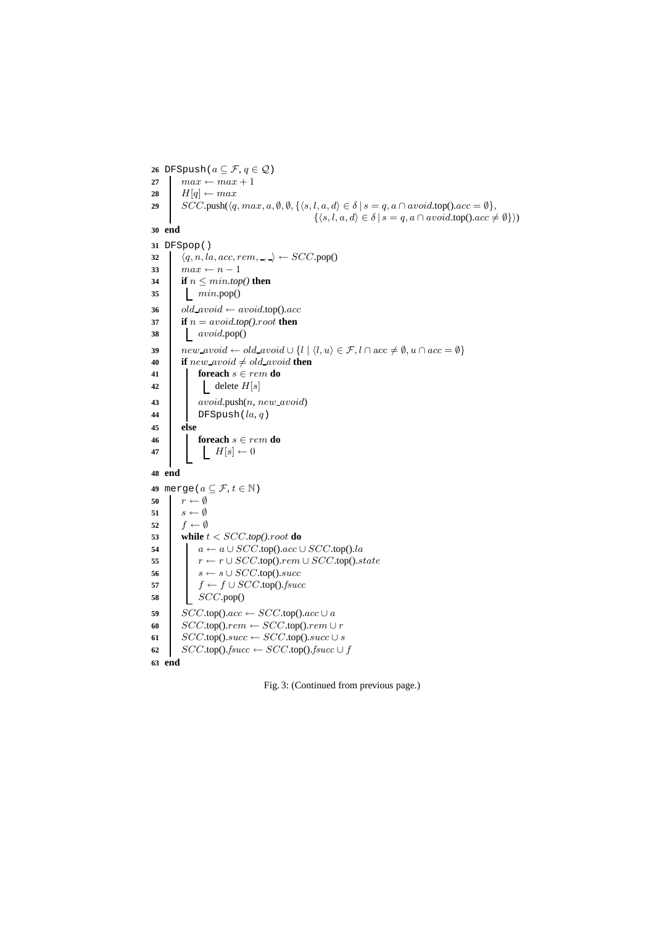```
26 DFSpush(a \subseteq \mathcal{F}, q \in \mathcal{Q})
27 max \leftarrow max + 128 H[q] \leftarrow max29 \begin{cases} \text{SCC.push}(\langle q, max, a, \emptyset, \emptyset, \{\langle s, l, a, d \rangle \in \delta \mid s = q, a \cap avoid.\text{top}() \text{.} acc = \emptyset \}, \end{cases}\{\langle s, l, a, d \rangle \in \delta \mid s = q, a \cap avoid.top(0. <math>acc \neq \emptyset \}))
30 end
31 DFSpop()
32 \langle q, n, la, acc, rem, \_, \rangle \leftarrow SCC.pop()33 max \leftarrow n – 1
34 if n \leq min.top() then
35 min.pop()
36 old_avoid ← avoid.top().acc
37 if n = avoid.top().root then
38 avoid.pop()
39 \begin{bmatrix} new\ avoid \leftarrow old\ avoid \cup \{l \mid \langle l, u \rangle \in \mathcal{F}, l \cap acc \neq \emptyset, u \cap acc = \emptyset\} \end{bmatrix}40 if new avoid \neq old avoid then
41 foreach s \in rem do
42 delete H[s]43 avoid.push(n, new avoid)
44 DFSpush(la, q)
45 else
46 foreach s \in rem do
47 H[s] \leftarrow 048 end
49 merge(a \subseteq \mathcal{F}, t \in \mathbb{N})
50 r \leftarrow \emptyset51 s \leftarrow \emptyset52 f \leftarrow \emptyset53 while t < SCC.top().root do
54 a \leftarrow a \cup SCC \cdot \text{top}().acc \cup SCC \cdot \text{top}().la
55 \vert \vert \vert r \leftarrow r \cup SCC \cdot \text{top}() .rem \cup SCC \cdot \text{top}() . state56 s \leftarrow s \cup SCC.\text{top}().succ
57 f \leftarrow f \cup SCC \text{.top}().fsucc
58 SCC.pop()59 SCC.top().acc \leftarrow SCC.top().acc \cup a60 SCC.top().rem \leftarrow SCC.top().rem \cup r61 SCC.top().succ ← SCC.top().succ ∪ s
62 SCC.top().fsucc ← SCC.top().fsucc ∪ f
63 end
```
Fig. 3: (Continued from previous page.)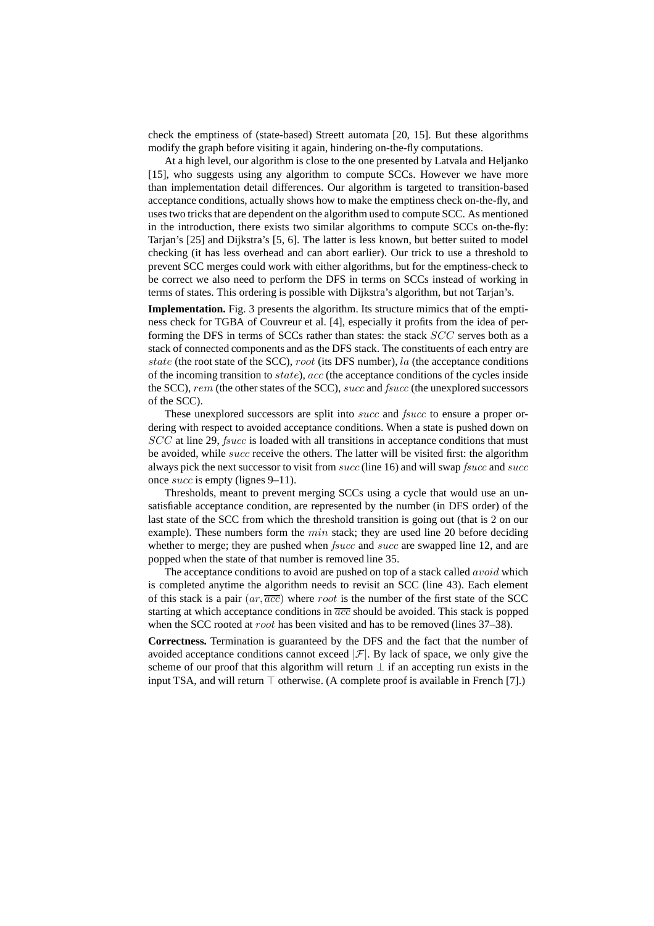check the emptiness of (state-based) Streett automata [20, 15]. But these algorithms modify the graph before visiting it again, hindering on-the-fly computations.

At a high level, our algorithm is close to the one presented by Latvala and Heljanko [15], who suggests using any algorithm to compute SCCs. However we have more than implementation detail differences. Our algorithm is targeted to transition-based acceptance conditions, actually shows how to make the emptiness check on-the-fly, and uses two tricks that are dependent on the algorithm used to compute SCC. As mentioned in the introduction, there exists two similar algorithms to compute SCCs on-the-fly: Tarjan's [25] and Dijkstra's [5, 6]. The latter is less known, but better suited to model checking (it has less overhead and can abort earlier). Our trick to use a threshold to prevent SCC merges could work with either algorithms, but for the emptiness-check to be correct we also need to perform the DFS in terms on SCCs instead of working in terms of states. This ordering is possible with Dijkstra's algorithm, but not Tarjan's.

**Implementation.** Fig. 3 presents the algorithm. Its structure mimics that of the emptiness check for TGBA of Couvreur et al. [4], especially it profits from the idea of performing the DFS in terms of SCCs rather than states: the stack SCC serves both as a stack of connected components and as the DFS stack. The constituents of each entry are state (the root state of the SCC),  $root$  (its DFS number), la (the acceptance conditions of the incoming transition to  $state$ ),  $acc$  (the acceptance conditions of the cycles inside the SCC), rem (the other states of the SCC), succ and fsucc (the unexplored successors of the SCC).

These unexplored successors are split into succ and fsucc to ensure a proper ordering with respect to avoided acceptance conditions. When a state is pushed down on SCC at line 29, fsucc is loaded with all transitions in acceptance conditions that must be avoided, while succ receive the others. The latter will be visited first: the algorithm always pick the next successor to visit from  $succ$  (line 16) and will swap  $fsucc$  and  $succ$ once succ is empty (lignes 9–11).

Thresholds, meant to prevent merging SCCs using a cycle that would use an unsatisfiable acceptance condition, are represented by the number (in DFS order) of the last state of the SCC from which the threshold transition is going out (that is 2 on our example). These numbers form the  $min$  stack; they are used line 20 before deciding whether to merge; they are pushed when *fsucc* and *succ* are swapped line 12, and are popped when the state of that number is removed line 35.

The acceptance conditions to avoid are pushed on top of a stack called *avoid* which is completed anytime the algorithm needs to revisit an SCC (line 43). Each element of this stack is a pair  $(ar, \overline{acc})$  where root is the number of the first state of the SCC starting at which acceptance conditions in  $\overline{acc}$  should be avoided. This stack is popped when the SCC rooted at *root* has been visited and has to be removed (lines 37–38).

**Correctness.** Termination is guaranteed by the DFS and the fact that the number of avoided acceptance conditions cannot exceed  $|\mathcal{F}|$ . By lack of space, we only give the scheme of our proof that this algorithm will return  $\perp$  if an accepting run exists in the input TSA, and will return  $⊤$  otherwise. (A complete proof is available in French [7].)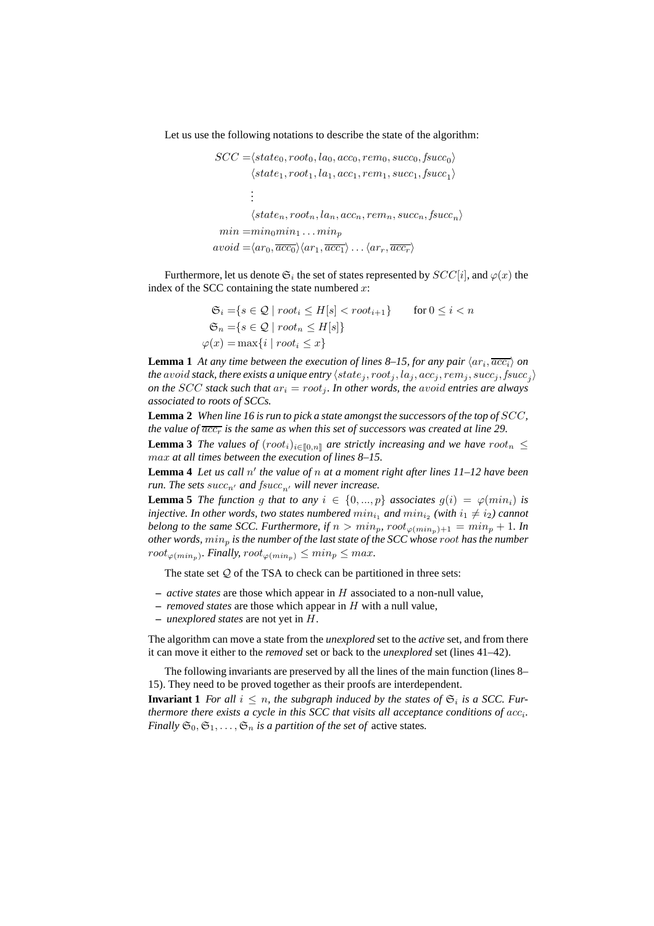Let us use the following notations to describe the state of the algorithm:

$$
SCC = \langle state_0, root_0, la_0, acc_0, rem_0, succ_0, succ_0 \rangle
$$
  

$$
\langle state_1, root_1, la_1, acc_1, rem_1, succ_1, succ_1 \rangle
$$
  

$$
\vdots
$$
  

$$
\langle state_n, root_n, la_n, acc_n, rem_n, succ_n, succ_n \rangle
$$
  

$$
min = min_0 min_1 ... min_p
$$
  

$$
avoid = \langle ar_0, \overline{acc_0} \rangle \langle ar_1, \overline{acc_1} \rangle ... \langle ar_r, \overline{acc_r} \rangle
$$

Furthermore, let us denote  $\mathfrak{S}_i$  the set of states represented by  $SCC[i]$ , and  $\varphi(x)$  the index of the SCC containing the state numbered  $x$ :

$$
\mathfrak{S}_i = \{ s \in \mathcal{Q} \mid root_i \le H[s] < root_{i+1} \} \quad \text{for } 0 \le i < n
$$
\n
$$
\mathfrak{S}_n = \{ s \in \mathcal{Q} \mid root_n \le H[s] \}
$$
\n
$$
\varphi(x) = \max\{ i \mid root_i \le x \}
$$

**Lemma 1** At any time between the execution of lines 8–15, for any pair  $\langle ar_i, \overline{acc_i} \rangle$  on the  $a void$  stack, there exists a unique entry  $\langle state_j, root_j, la_j, acc_j, rem_j, succ_j, face_j \rangle$ *on the* SCC stack such that  $ar_i = root_j$ . In other words, the avoid entries are always *associated to roots of SCCs.*

**Lemma 2** *When line 16 is run to pick a state amongst the successors of the top of* SCC*, the value of*  $\overline{acc_r}$  *is the same as when this set of successors was created at line 29.* 

**Lemma 3** *The values of*  $(root<sub>i</sub>)_{i \in [0,n]}$  *are strictly increasing and we have root*<sub>n</sub>  $\leq$ max *at all times between the execution of lines 8–15.*

**Lemma 4** *Let us call* n ′ *the value of* n *at a moment right after lines 11–12 have been run. The sets succ<sub>n'</sub> and*  $fsucc_{n'}$  *will never increase.* 

**Lemma 5** *The function* g *that to any*  $i \in \{0, ..., p\}$  *associates*  $g(i) = \varphi(min_i)$  *is* injective. In other words, two states numbered  $min_{i_1}$  and  $min_{i_2}$  (with  $i_1\neq i_2$ ) cannot *belong to the same SCC. Furthermore, if*  $n > min_p$ ,  $root_{\varphi(min_n)+1} = min_p + 1$ . In *other words,* min<sup>p</sup> *is the number of the last state of the SCC whose* root *has the number*  $root_{\varphi(min_p)}$ . Finally,  $root_{\varphi(min_p)} \leq min_p \leq max$ .

The state set  $Q$  of the TSA to check can be partitioned in three sets:

- **–** *active states* are those which appear in H associated to a non-null value,
- **–** *removed states* are those which appear in H with a null value,
- **–** *unexplored states* are not yet in H.

The algorithm can move a state from the *unexplored* set to the *active* set, and from there it can move it either to the *removed* set or back to the *unexplored* set (lines 41–42).

The following invariants are preserved by all the lines of the main function (lines 8– 15). They need to be proved together as their proofs are interdependent.

**Invariant 1** For all  $i \leq n$ , the subgraph induced by the states of  $\mathfrak{S}_i$  is a SCC. Fur*thermore there exists a cycle in this SCC that visits all acceptance conditions of*  $acc_i$ *. Finally*  $\mathfrak{S}_0$ ,  $\mathfrak{S}_1$ , ...,  $\mathfrak{S}_n$  *is a partition of the set of active states.*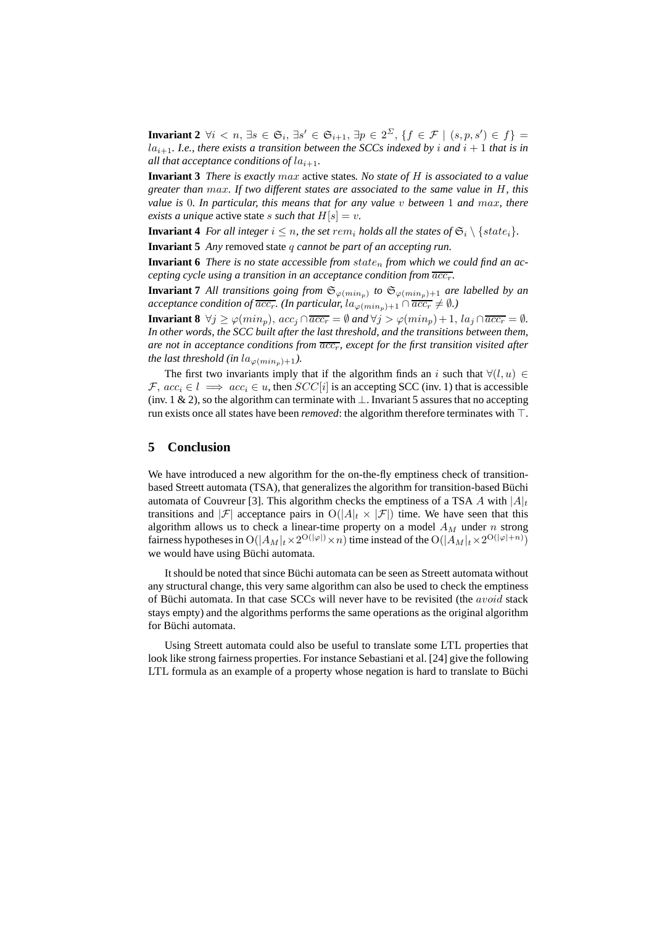**Invariant 2**  $\forall i < n, \exists s \in \mathfrak{S}_i, \exists s' \in \mathfrak{S}_{i+1}, \exists p \in 2^{\Sigma}, \{f \in \mathcal{F} \mid (s, p, s') \in f\} =$  $la_{i+1}$ *. I.e., there exists a transition between the SCCs indexed by i and*  $i + 1$  *that is in all that acceptance conditions of*  $la_{i+1}$ *.* 

**Invariant 3** *There is exactly* max active states*. No state of* H *is associated to a value greater than* max*. If two different states are associated to the same value in* H*, this value is* 0*. In particular, this means that for any value* v *between* 1 *and* max*, there exists a unique* active state *s such that*  $H[s] = v$ .

**Invariant 4** *For all integer*  $i \leq n$ *, the set rem<sub>i</sub> holds all the states of*  $\mathfrak{S}_i \setminus \{state_i\}$ *.* **Invariant 5** *Any* removed state q *cannot be part of an accepting run.*

**Invariant 6** *There is no state accessible from state<sub>n</sub> from which we could find an accepting cycle using a transition in an acceptance condition from*  $\overline{acc_r}$ *.* 

**Invariant 7** All transitions going from  $\mathfrak{S}_{\varphi(\min_p)}$  to  $\mathfrak{S}_{\varphi(\min_p)+1}$  are labelled by an *acceptance condition of*  $\overline{acc_r}$ . (In particular,  $la_{\varphi(min_p)+1} \cap \overline{acc_r} \neq \emptyset$ .)

**Invariant 8**  $\forall j \ge \varphi(min_n), \, acc_j \cap \overline{acc_r} = \emptyset \text{ and } \forall j > \varphi(min_n) + 1, \, la_j \cap \overline{acc_r} = \emptyset.$ *In other words, the SCC built after the last threshold, and the transitions between them, are not in acceptance conditions from*  $\overline{acc_r}$ , except for the first transition visited after *the last threshold (in*  $la_{\varphi(min_n)+1}$ *).* 

The first two invariants imply that if the algorithm finds an i such that  $\forall (l, u) \in$  $\mathcal{F}, acc_i \in \mathcal{l} \implies acc_i \in \mathcal{u}$ , then  $SCC[i]$  is an accepting SCC (inv. 1) that is accessible (inv. 1 & 2), so the algorithm can terminate with  $\perp$ . Invariant 5 assures that no accepting run exists once all states have been *removed*: the algorithm therefore terminates with ⊤.

## **5 Conclusion**

We have introduced a new algorithm for the on-the-fly emptiness check of transitionbased Streett automata (TSA), that generalizes the algorithm for transition-based Büchi automata of Couvreur [3]. This algorithm checks the emptiness of a TSA A with  $|A|_t$ transitions and  $|\mathcal{F}|$  acceptance pairs in  $O(|A|_t \times |\mathcal{F}|)$  time. We have seen that this algorithm allows us to check a linear-time property on a model  $A_M$  under n strong fairness hypotheses in  $\mathrm{O}(|A_M|_t\times 2^{\mathrm{O}(|\varphi|)}\times n)$  time instead of the  $\mathrm{O}(|A_M|_t\times 2^{\mathrm{O}(|\varphi|+n)})$ we would have using Büchi automata.

It should be noted that since Büchi automata can be seen as Streett automata without any structural change, this very same algorithm can also be used to check the emptiness of Büchi automata. In that case SCCs will never have to be revisited (the *avoid* stack stays empty) and the algorithms performs the same operations as the original algorithm for Büchi automata.

Using Streett automata could also be useful to translate some LTL properties that look like strong fairness properties. For instance Sebastiani et al. [24] give the following LTL formula as an example of a property whose negation is hard to translate to Büchi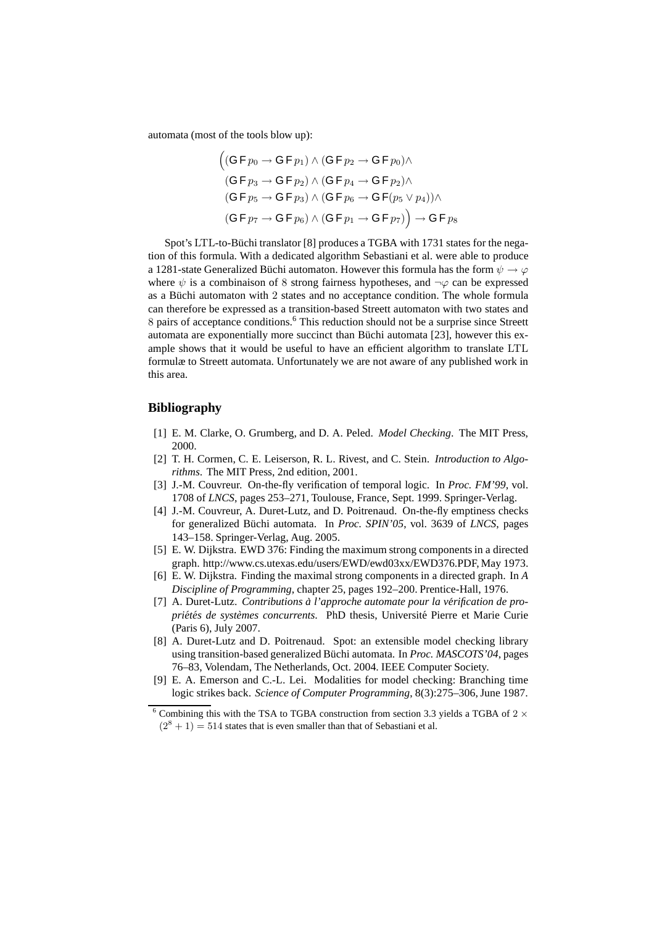automata (most of the tools blow up):

$$
\begin{aligned}\n &\left( (\mathsf{G} \, \mathsf{F} \, p_0 \rightarrow \mathsf{G} \, \mathsf{F} \, p_1) \land (\mathsf{G} \, \mathsf{F} \, p_2 \rightarrow \mathsf{G} \, \mathsf{F} \, p_0) \land \\
 &\left( \mathsf{G} \, \mathsf{F} \, p_3 \rightarrow \mathsf{G} \, \mathsf{F} \, p_2 \right) \land (\mathsf{G} \, \mathsf{F} \, p_4 \rightarrow \mathsf{G} \, \mathsf{F} \, p_2) \land \\
 &\left( \mathsf{G} \, \mathsf{F} \, p_5 \rightarrow \mathsf{G} \, \mathsf{F} \, p_3 \right) \land (\mathsf{G} \, \mathsf{F} \, p_6 \rightarrow \mathsf{G} \, \mathsf{F} \, (p_5 \lor p_4)) \land \\
 &\left( \mathsf{G} \, \mathsf{F} \, p_7 \rightarrow \mathsf{G} \, \mathsf{F} \, p_6 \right) \land (\mathsf{G} \, \mathsf{F} \, p_1 \rightarrow \mathsf{G} \, \mathsf{F} \, p_7) \right) \rightarrow \mathsf{G} \, \mathsf{F} \, p_8\n \end{aligned}
$$

Spot's LTL-to-Büchi translator [8] produces a TGBA with 1731 states for the negation of this formula. With a dedicated algorithm Sebastiani et al. were able to produce a 1281-state Generalized Büchi automaton. However this formula has the form  $\psi \to \varphi$ where  $\psi$  is a combinaison of 8 strong fairness hypotheses, and  $\neg \varphi$  can be expressed as a Büchi automaton with 2 states and no acceptance condition. The whole formula can therefore be expressed as a transition-based Streett automaton with two states and 8 pairs of acceptance conditions.<sup>6</sup> This reduction should not be a surprise since Streett automata are exponentially more succinct than Büchi automata [23], however this example shows that it would be useful to have an efficient algorithm to translate LTL formulæ to Streett automata. Unfortunately we are not aware of any published work in this area.

# **Bibliography**

- [1] E. M. Clarke, O. Grumberg, and D. A. Peled. *Model Checking*. The MIT Press, 2000.
- [2] T. H. Cormen, C. E. Leiserson, R. L. Rivest, and C. Stein. *Introduction to Algorithms*. The MIT Press, 2nd edition, 2001.
- [3] J.-M. Couvreur. On-the-fly verification of temporal logic. In *Proc. FM'99*, vol. 1708 of *LNCS*, pages 253–271, Toulouse, France, Sept. 1999. Springer-Verlag.
- [4] J.-M. Couvreur, A. Duret-Lutz, and D. Poitrenaud. On-the-fly emptiness checks for generalized Büchi automata. In *Proc. SPIN'05*, vol. 3639 of *LNCS*, pages 143–158. Springer-Verlag, Aug. 2005.
- [5] E. W. Dijkstra. EWD 376: Finding the maximum strong components in a directed graph. http://www.cs.utexas.edu/users/EWD/ewd03xx/EWD376.PDF, May 1973.
- [6] E. W. Dijkstra. Finding the maximal strong components in a directed graph. In *A Discipline of Programming*, chapter 25, pages 192–200. Prentice-Hall, 1976.
- [7] A. Duret-Lutz. *Contributions a l'approche automate pour la v ` erification de pro- ´ priétés de systèmes concurrents*. PhD thesis, Université Pierre et Marie Curie (Paris 6), July 2007.
- [8] A. Duret-Lutz and D. Poitrenaud. Spot: an extensible model checking library using transition-based generalized Büchi automata. In *Proc. MASCOTS'04*, pages 76–83, Volendam, The Netherlands, Oct. 2004. IEEE Computer Society.
- [9] E. A. Emerson and C.-L. Lei. Modalities for model checking: Branching time logic strikes back. *Science of Computer Programming*, 8(3):275–306, June 1987.

 $6$  Combining this with the TSA to TGBA construction from section 3.3 yields a TGBA of 2  $\times$  $(2^8 + 1) = 514$  states that is even smaller than that of Sebastiani et al.